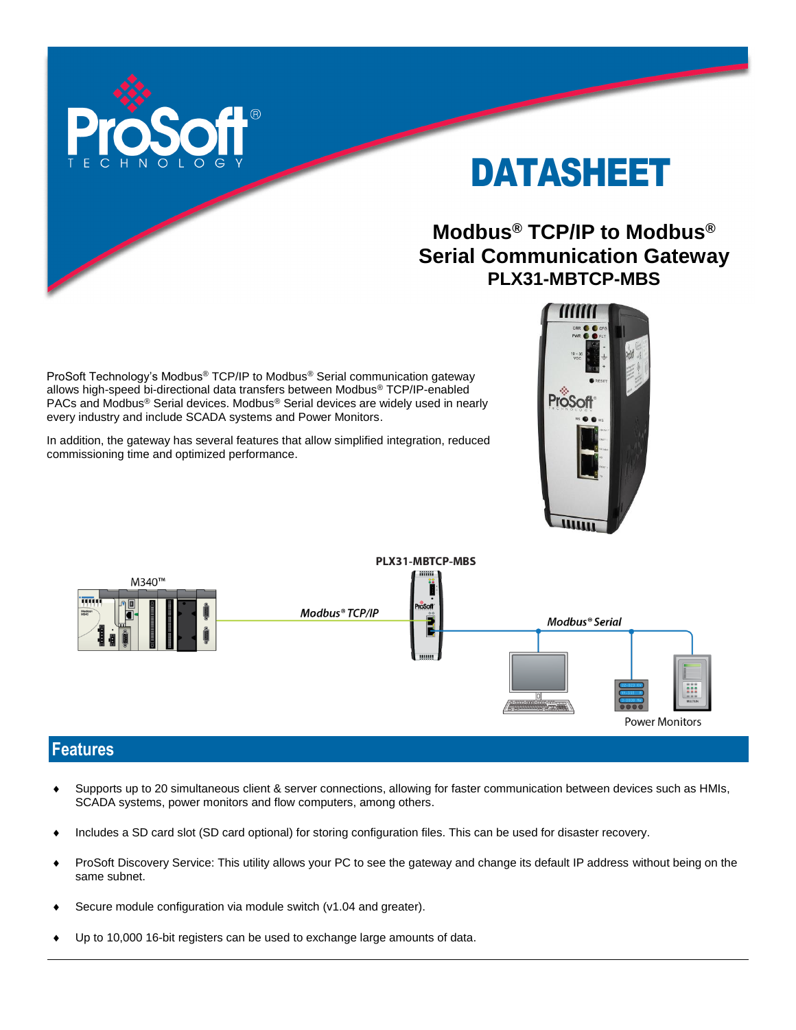

# DATASHEET

## **Modbus® TCP/IP to Modbus® Serial Communication Gateway PLX31-MBTCP-MBS**

ProSoft Technology's Modbus® TCP/IP to Modbus® Serial communication gateway allows high-speed bi-directional data transfers between Modbus® TCP/IP-enabled PACs and Modbus® Serial devices. Modbus® Serial devices are widely used in nearly every industry and include SCADA systems and Power Monitors.

In addition, the gateway has several features that allow simplified integration, reduced commissioning time and optimized performance.





#### **Features**

- Supports up to 20 simultaneous client & server connections, allowing for faster communication between devices such as HMIs, SCADA systems, power monitors and flow computers, among others.
- Includes a SD card slot (SD card optional) for storing configuration files. This can be used for disaster recovery.
- ProSoft Discovery Service: This utility allows your PC to see the gateway and change its default IP address without being on the same subnet.
- Secure module configuration via module switch (v1.04 and greater).
- Up to 10,000 16-bit registers can be used to exchange large amounts of data.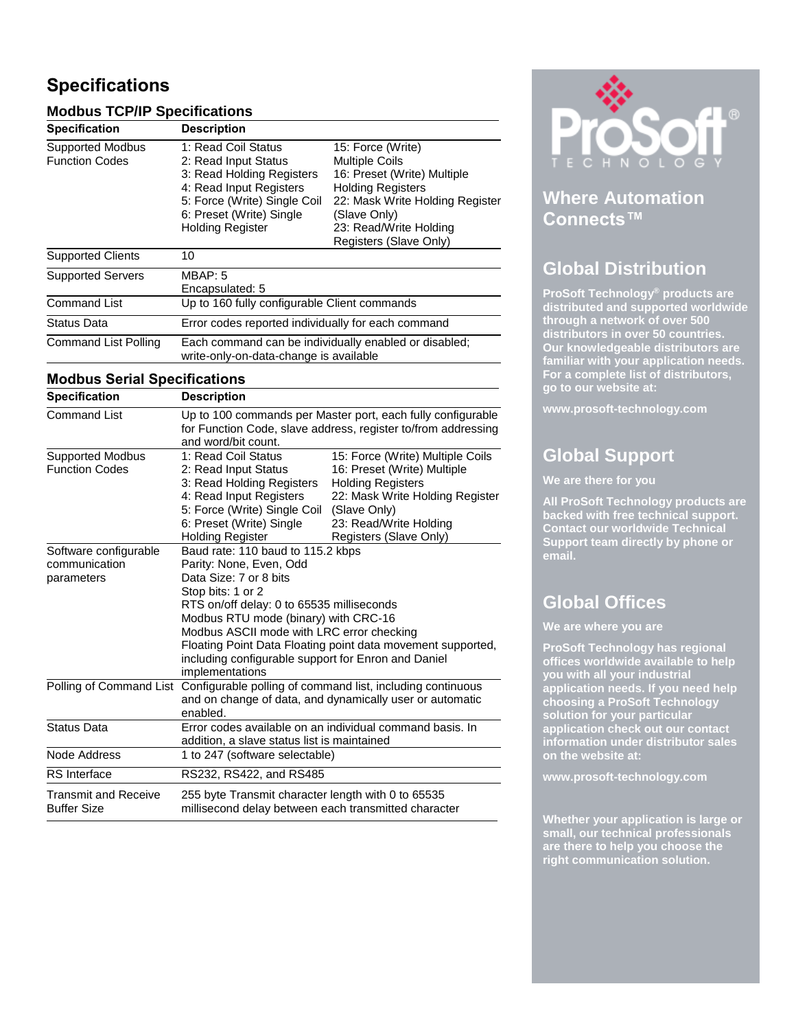### **Specifications**

#### **Modbus TCP/IP Specifications**

| <b>Specification</b>     | <b>Description</b>           |                                 |
|--------------------------|------------------------------|---------------------------------|
| <b>Supported Modbus</b>  | 1: Read Coil Status          | 15: Force (Write)               |
| <b>Function Codes</b>    | 2: Read Input Status         | <b>Multiple Coils</b>           |
|                          | 3: Read Holding Registers    | 16: Preset (Write) Multiple     |
|                          | 4: Read Input Registers      | <b>Holding Registers</b>        |
|                          | 5: Force (Write) Single Coil | 22: Mask Write Holding Register |
|                          | 6: Preset (Write) Single     | (Slave Only)                    |
|                          | <b>Holding Register</b>      | 23: Read/Write Holding          |
|                          |                              | Registers (Slave Only)          |
| <b>Supported Clients</b> | 10                           |                                 |
| <b>Supported Servers</b> | MBAP: 5                      |                                 |
|                          | Especies de la de E          |                                 |

|                      | Encapsulated: 5                                                                                 |  |
|----------------------|-------------------------------------------------------------------------------------------------|--|
| <b>Command List</b>  | Up to 160 fully configurable Client commands                                                    |  |
| Status Data          | Error codes reported individually for each command                                              |  |
| Command List Polling | Each command can be individually enabled or disabled;<br>write-only-on-data-change is available |  |

#### **Modbus Serial Specifications**

| <b>Specification</b>        | <b>Description</b>                                                                                                                                  |                                                             |  |
|-----------------------------|-----------------------------------------------------------------------------------------------------------------------------------------------------|-------------------------------------------------------------|--|
| Command List                | Up to 100 commands per Master port, each fully configurable<br>for Function Code, slave address, register to/from addressing<br>and word/bit count. |                                                             |  |
| <b>Supported Modbus</b>     | 1: Read Coil Status                                                                                                                                 | 15: Force (Write) Multiple Coils                            |  |
| <b>Function Codes</b>       | 2: Read Input Status                                                                                                                                | 16: Preset (Write) Multiple                                 |  |
|                             | 3: Read Holding Registers<br>4: Read Input Registers                                                                                                | <b>Holding Registers</b>                                    |  |
|                             | 5: Force (Write) Single Coil                                                                                                                        | 22: Mask Write Holding Register<br>(Slave Only)             |  |
|                             | 6: Preset (Write) Single                                                                                                                            | 23: Read/Write Holding                                      |  |
|                             | <b>Holding Register</b>                                                                                                                             | Registers (Slave Only)                                      |  |
| Software configurable       | Baud rate: 110 baud to 115.2 kbps                                                                                                                   |                                                             |  |
| communication               | Parity: None, Even, Odd                                                                                                                             |                                                             |  |
| parameters                  | Data Size: 7 or 8 bits                                                                                                                              |                                                             |  |
|                             | Stop bits: 1 or 2                                                                                                                                   |                                                             |  |
|                             | RTS on/off delay: 0 to 65535 milliseconds                                                                                                           |                                                             |  |
|                             | Modbus RTU mode (binary) with CRC-16                                                                                                                |                                                             |  |
|                             | Modbus ASCII mode with LRC error checking                                                                                                           |                                                             |  |
|                             |                                                                                                                                                     | Floating Point Data Floating point data movement supported, |  |
|                             | including configurable support for Enron and Daniel                                                                                                 |                                                             |  |
|                             | implementations                                                                                                                                     |                                                             |  |
|                             | Polling of Command List Configurable polling of command list, including continuous                                                                  |                                                             |  |
|                             | and on change of data, and dynamically user or automatic                                                                                            |                                                             |  |
|                             | enabled.                                                                                                                                            |                                                             |  |
| <b>Status Data</b>          | Error codes available on an individual command basis. In                                                                                            |                                                             |  |
|                             | addition, a slave status list is maintained                                                                                                         |                                                             |  |
| Node Address                | 1 to 247 (software selectable)                                                                                                                      |                                                             |  |
| <b>RS</b> Interface         | RS232, RS422, and RS485                                                                                                                             |                                                             |  |
| <b>Transmit and Receive</b> | 255 byte Transmit character length with 0 to 65535                                                                                                  |                                                             |  |
| <b>Buffer Size</b>          | millisecond delay between each transmitted character                                                                                                |                                                             |  |



#### **Where Automation Connects™**

#### **Global Distribution**

**ProSoft Technology® products are distributed and supported worldwide through a network of over 500 distributors in over 50 countries. Our knowledgeable distributors are familiar with your application needs. For a complete list of distributors, go to our website at:**

**www.prosoft-technology.com**

## **Global Support**

**We are there for you**

**All ProSoft Technology products are backed with free technical support. Contact our worldwide Technical Support team directly by phone or email.**

## **Global Offices**

**We are where you are** 

**ProSoft Technology has regional offices worldwide available to help you with all your industrial application needs. If you need help choosing a ProSoft Technology solution for your particular application check out our contact information under distributor sales on the website at:**

**www.prosoft-technology.com**

**Whether your application is large or small, our technical professionals are there to help you choose the right communication solution.**